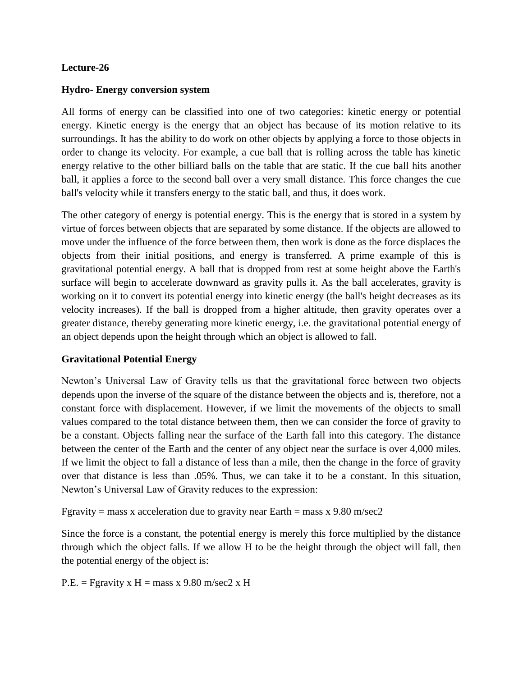### **Lecture-26**

### **Hydro- Energy conversion system**

All forms of energy can be classified into one of two categories: kinetic energy or potential energy. Kinetic energy is the energy that an object has because of its motion relative to its surroundings. It has the ability to do work on other objects by applying a force to those objects in order to change its velocity. For example, a cue ball that is rolling across the table has kinetic energy relative to the other billiard balls on the table that are static. If the cue ball hits another ball, it applies a force to the second ball over a very small distance. This force changes the cue ball's velocity while it transfers energy to the static ball, and thus, it does work.

The other category of energy is potential energy. This is the energy that is stored in a system by virtue of forces between objects that are separated by some distance. If the objects are allowed to move under the influence of the force between them, then work is done as the force displaces the objects from their initial positions, and energy is transferred. A prime example of this is gravitational potential energy. A ball that is dropped from rest at some height above the Earth's surface will begin to accelerate downward as gravity pulls it. As the ball accelerates, gravity is working on it to convert its potential energy into kinetic energy (the ball's height decreases as its velocity increases). If the ball is dropped from a higher altitude, then gravity operates over a greater distance, thereby generating more kinetic energy, i.e. the gravitational potential energy of an object depends upon the height through which an object is allowed to fall.

## **Gravitational Potential Energy**

Newton's Universal Law of Gravity tells us that the gravitational force between two objects depends upon the inverse of the square of the distance between the objects and is, therefore, not a constant force with displacement. However, if we limit the movements of the objects to small values compared to the total distance between them, then we can consider the force of gravity to be a constant. Objects falling near the surface of the Earth fall into this category. The distance between the center of the Earth and the center of any object near the surface is over 4,000 miles. If we limit the object to fall a distance of less than a mile, then the change in the force of gravity over that distance is less than .05%. Thus, we can take it to be a constant. In this situation, Newton's Universal Law of Gravity reduces to the expression:

Fgravity = mass x acceleration due to gravity near Earth = mass x 9.80 m/sec2

Since the force is a constant, the potential energy is merely this force multiplied by the distance through which the object falls. If we allow H to be the height through the object will fall, then the potential energy of the object is:

 $P.E. = Fgravity x H = mass x 9.80 m/sec2 x H$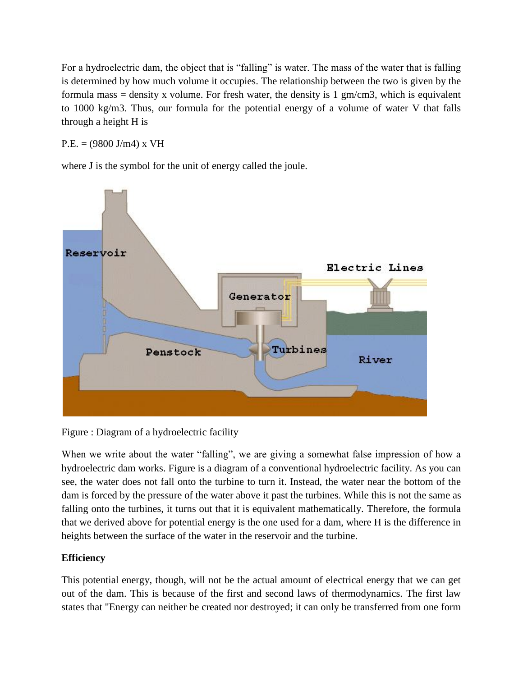For a hydroelectric dam, the object that is "falling" is water. The mass of the water that is falling is determined by how much volume it occupies. The relationship between the two is given by the formula mass = density x volume. For fresh water, the density is 1 gm/cm3, which is equivalent to 1000 kg/m3. Thus, our formula for the potential energy of a volume of water V that falls through a height H is

 $P.E. = (9800 J/m4) x VH$ 

where J is the symbol for the unit of energy called the joule.



Figure : Diagram of a hydroelectric facility

When we write about the water "falling", we are giving a somewhat false impression of how a hydroelectric dam works. Figure is a diagram of a conventional hydroelectric facility. As you can see, the water does not fall onto the turbine to turn it. Instead, the water near the bottom of the dam is forced by the pressure of the water above it past the turbines. While this is not the same as falling onto the turbines, it turns out that it is equivalent mathematically. Therefore, the formula that we derived above for potential energy is the one used for a dam, where H is the difference in heights between the surface of the water in the reservoir and the turbine.

# **Efficiency**

This potential energy, though, will not be the actual amount of electrical energy that we can get out of the dam. This is because of the first and second laws of thermodynamics. The first law states that "Energy can neither be created nor destroyed; it can only be transferred from one form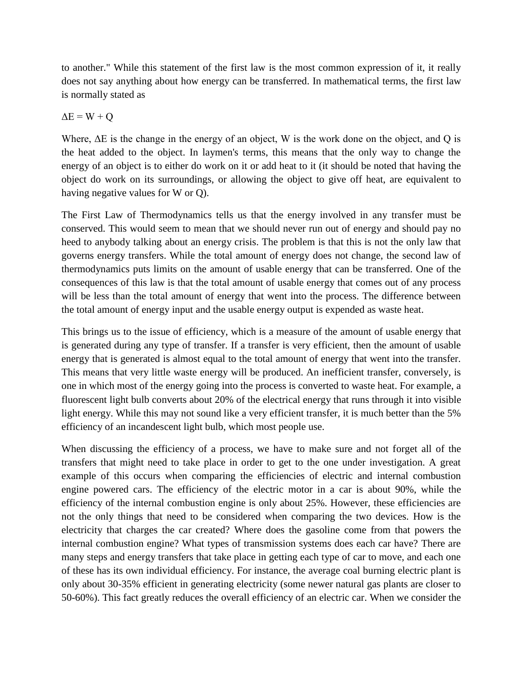to another." While this statement of the first law is the most common expression of it, it really does not say anything about how energy can be transferred. In mathematical terms, the first law is normally stated as

$$
\Delta E = W + Q
$$

Where, ΔE is the change in the energy of an object, W is the work done on the object, and Q is the heat added to the object. In laymen's terms, this means that the only way to change the energy of an object is to either do work on it or add heat to it (it should be noted that having the object do work on its surroundings, or allowing the object to give off heat, are equivalent to having negative values for W or Q).

The First Law of Thermodynamics tells us that the energy involved in any transfer must be conserved. This would seem to mean that we should never run out of energy and should pay no heed to anybody talking about an energy crisis. The problem is that this is not the only law that governs energy transfers. While the total amount of energy does not change, the second law of thermodynamics puts limits on the amount of usable energy that can be transferred. One of the consequences of this law is that the total amount of usable energy that comes out of any process will be less than the total amount of energy that went into the process. The difference between the total amount of energy input and the usable energy output is expended as waste heat.

This brings us to the issue of efficiency, which is a measure of the amount of usable energy that is generated during any type of transfer. If a transfer is very efficient, then the amount of usable energy that is generated is almost equal to the total amount of energy that went into the transfer. This means that very little waste energy will be produced. An inefficient transfer, conversely, is one in which most of the energy going into the process is converted to waste heat. For example, a fluorescent light bulb converts about 20% of the electrical energy that runs through it into visible light energy. While this may not sound like a very efficient transfer, it is much better than the 5% efficiency of an incandescent light bulb, which most people use.

When discussing the efficiency of a process, we have to make sure and not forget all of the transfers that might need to take place in order to get to the one under investigation. A great example of this occurs when comparing the efficiencies of electric and internal combustion engine powered cars. The efficiency of the electric motor in a car is about 90%, while the efficiency of the internal combustion engine is only about 25%. However, these efficiencies are not the only things that need to be considered when comparing the two devices. How is the electricity that charges the car created? Where does the gasoline come from that powers the internal combustion engine? What types of transmission systems does each car have? There are many steps and energy transfers that take place in getting each type of car to move, and each one of these has its own individual efficiency. For instance, the average coal burning electric plant is only about 30-35% efficient in generating electricity (some newer natural gas plants are closer to 50-60%). This fact greatly reduces the overall efficiency of an electric car. When we consider the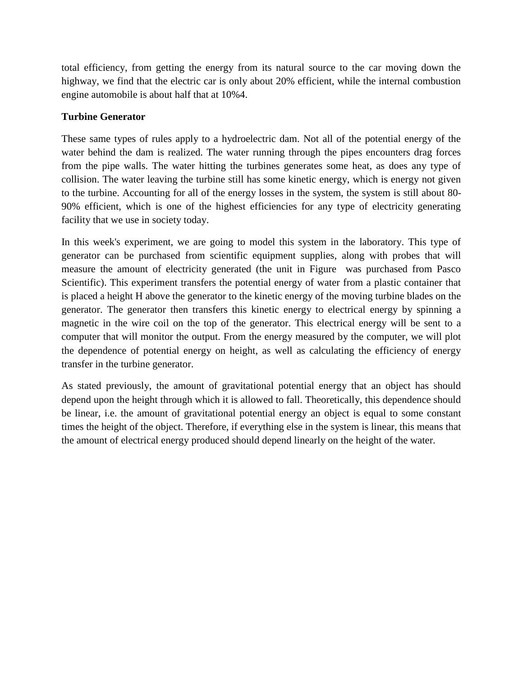total efficiency, from getting the energy from its natural source to the car moving down the highway, we find that the electric car is only about 20% efficient, while the internal combustion engine automobile is about half that at 10%4.

## **Turbine Generator**

These same types of rules apply to a hydroelectric dam. Not all of the potential energy of the water behind the dam is realized. The water running through the pipes encounters drag forces from the pipe walls. The water hitting the turbines generates some heat, as does any type of collision. The water leaving the turbine still has some kinetic energy, which is energy not given to the turbine. Accounting for all of the energy losses in the system, the system is still about 80- 90% efficient, which is one of the highest efficiencies for any type of electricity generating facility that we use in society today.

In this week's experiment, we are going to model this system in the laboratory. This type of generator can be purchased from scientific equipment supplies, along with probes that will measure the amount of electricity generated (the unit in Figure was purchased from Pasco Scientific). This experiment transfers the potential energy of water from a plastic container that is placed a height H above the generator to the kinetic energy of the moving turbine blades on the generator. The generator then transfers this kinetic energy to electrical energy by spinning a magnetic in the wire coil on the top of the generator. This electrical energy will be sent to a computer that will monitor the output. From the energy measured by the computer, we will plot the dependence of potential energy on height, as well as calculating the efficiency of energy transfer in the turbine generator.

As stated previously, the amount of gravitational potential energy that an object has should depend upon the height through which it is allowed to fall. Theoretically, this dependence should be linear, i.e. the amount of gravitational potential energy an object is equal to some constant times the height of the object. Therefore, if everything else in the system is linear, this means that the amount of electrical energy produced should depend linearly on the height of the water.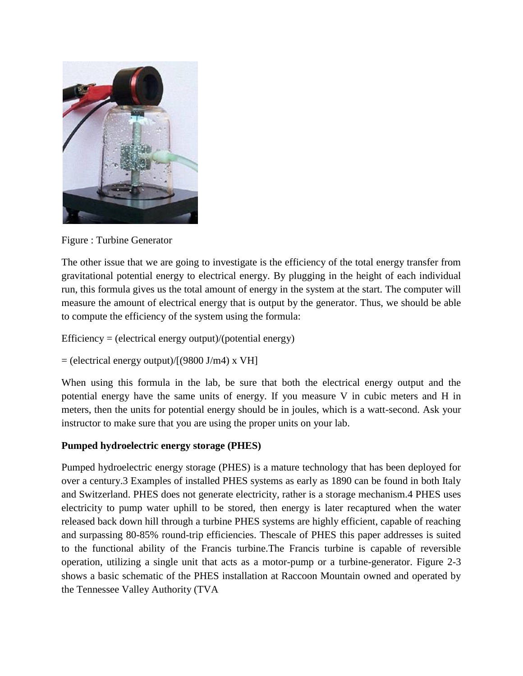

Figure : Turbine Generator

The other issue that we are going to investigate is the efficiency of the total energy transfer from gravitational potential energy to electrical energy. By plugging in the height of each individual run, this formula gives us the total amount of energy in the system at the start. The computer will measure the amount of electrical energy that is output by the generator. Thus, we should be able to compute the efficiency of the system using the formula:

Efficiency = (electrical energy output)/(potential energy)

 $=$  (electrical energy output)/[(9800 J/m4) x VH]

When using this formula in the lab, be sure that both the electrical energy output and the potential energy have the same units of energy. If you measure V in cubic meters and H in meters, then the units for potential energy should be in joules, which is a watt-second. Ask your instructor to make sure that you are using the proper units on your lab.

## **Pumped hydroelectric energy storage (PHES)**

Pumped hydroelectric energy storage (PHES) is a mature technology that has been deployed for over a century.3 Examples of installed PHES systems as early as 1890 can be found in both Italy and Switzerland. PHES does not generate electricity, rather is a storage mechanism.4 PHES uses electricity to pump water uphill to be stored, then energy is later recaptured when the water released back down hill through a turbine PHES systems are highly efficient, capable of reaching and surpassing 80-85% round-trip efficiencies. Thescale of PHES this paper addresses is suited to the functional ability of the Francis turbine.The Francis turbine is capable of reversible operation, utilizing a single unit that acts as a motor-pump or a turbine-generator. Figure 2-3 shows a basic schematic of the PHES installation at Raccoon Mountain owned and operated by the Tennessee Valley Authority (TVA